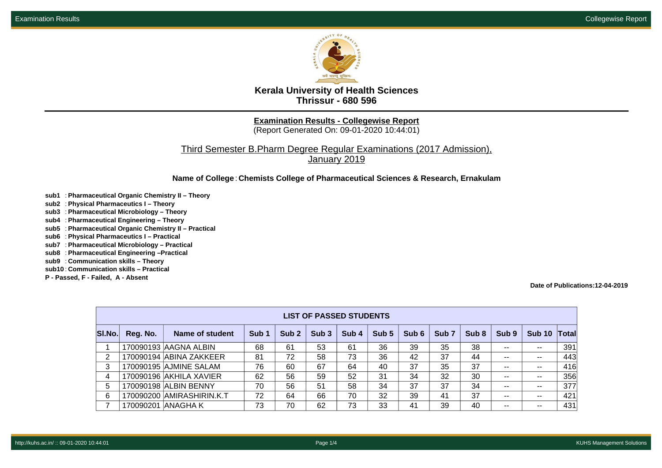

**Kerala University of Health Sciences Thrissur - 680 596**

**Examination Results - Collegewise Report**

(Report Generated On: 09-01-2020 10:44:01)

Third Semester B.Pharm Degree Regular Examinations (2017 Admission), January 2019

**Name of College**: **Chemists College of Pharmaceutical Sciences & Research, Ernakulam**

- **sub1** : **Pharmaceutical Organic Chemistry II Theory**
- **sub2** : **Physical Pharmaceutics I Theory**
- **sub3** : **Pharmaceutical Microbiology Theory**
- **sub4** : **Pharmaceutical Engineering Theory**
- **sub5** : **Pharmaceutical Organic Chemistry II Practical**
- **sub6** : **Physical Pharmaceutics I Practical**
- **sub7** : **Pharmaceutical Microbiology Practical**
- **sub8** : **Pharmaceutical Engineering –Practical**
- **sub9** : **Communication skills Theory**
- **sub10** : **Communication skills Practical**
- **P Passed, F Failed, A Absent**

**Date of Publications:12-04-2019**

|        | <b>LIST OF PASSED STUDENTS</b> |                           |                  |                  |                  |                  |       |       |                  |                  |               |                          |                |  |
|--------|--------------------------------|---------------------------|------------------|------------------|------------------|------------------|-------|-------|------------------|------------------|---------------|--------------------------|----------------|--|
| SI.No. | Reg. No.                       | Name of student           | Sub <sub>1</sub> | Sub <sub>2</sub> | Sub <sub>3</sub> | Sub <sub>4</sub> | Sub 5 | Sub 6 | Sub <sub>7</sub> | Sub <sub>8</sub> | Sub 9         | Sub 10                   | $\blacksquare$ |  |
|        |                                | 170090193 AAGNA ALBIN     | 68               | 61               | 53               | 61               | 36    | 39    | 35               | 38               | $\sim$ $\sim$ | --                       | 391            |  |
| 2      |                                | 170090194 ABINA ZAKKEER   | 81               | 72               | 58               | 73               | 36    | 42    | 37               | 44               | $- -$         | --                       | 443            |  |
| 3      |                                | 170090195 AJMINE SALAM    | 76               | 60               | 67               | 64               | 40    | 37    | 35               | 37               | $- -$         | $\overline{\phantom{m}}$ | 416            |  |
| 4      |                                | 170090196 AKHILA XAVIER   | 62               | 56               | 59               | 52               | 31    | 34    | 32               | 30               | $\sim$ $\sim$ | $\overline{\phantom{m}}$ | 356            |  |
| 5      |                                | 170090198 ALBIN BENNY     | 70               | 56               | 51               | 58               | 34    | 37    | 37               | 34               | $\sim$ $\sim$ | $- -$                    | 377            |  |
| 6      |                                | 170090200 AMIRASHIRIN.K.T | 72               | 64               | 66               | 70               | 32    | 39    | 41               | 37               | $\sim$ $-$    | $- -$                    | 421            |  |
|        | 170090201 ANAGHA K             |                           | 73               | 70               | 62               | 73               | 33    | 41    | 39               | 40               | $\sim$ $-$    | $\overline{\phantom{m}}$ | 431            |  |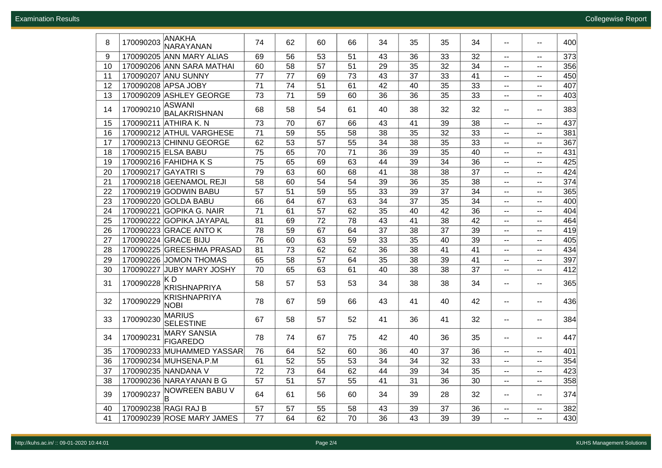| 373<br>9<br>170090205 ANN MARY ALIAS<br>56<br>53<br>51<br>43<br>36<br>33<br>32<br>69<br>۰.<br>$- -$<br>356<br>170090206 ANN SARA MATHAI<br>58<br>57<br>29<br>32<br>34<br>60<br>51<br>35<br>10<br>$\sim$ $\sim$<br>$\overline{\phantom{a}}$<br>77<br>43<br>41<br>450<br>170090207 ANU SUNNY<br>77<br>73<br>11<br>69<br>37<br>33<br>$\overline{\phantom{a}}$<br>$\overline{\phantom{a}}$<br>170090208 APSA JOBY<br>71<br>74<br>42<br>35<br>33<br>407<br>12<br>51<br>61<br>40<br>$- -$<br>$- -$<br>170090209 ASHLEY GEORGE<br>71<br>36<br>33<br>403<br>13<br>73<br>59<br>60<br>36<br>35<br>$\overline{\phantom{a}}$<br>$- -$<br><b>ASWANI</b><br>170090210<br>58<br>32<br>383<br>68<br>54<br>61<br>40<br>38<br>32<br>14<br>$\overline{\phantom{a}}$<br>$\overline{\phantom{a}}$<br>BALAKRISHNAN<br>437<br>170090211 ATHIRA K. N<br>73<br>70<br>67<br>66<br>39<br>38<br>15<br>43<br>41<br>$- -$<br>$\overline{\phantom{a}}$<br>71<br>59<br>55<br>38<br>33<br>381<br>16<br>170090212 ATHUL VARGHESE<br>58<br>35<br>32<br>--<br>$- -$<br>367<br>53<br>57<br>170090213 CHINNU GEORGE<br>62<br>55<br>34<br>38<br>35<br>33<br>17<br>$\sim$<br>$- -$<br>65<br>431<br>18<br>170090215 ELSA BABU<br>75<br>70<br>71<br>36<br>39<br>35<br>40<br>$\sim$<br>$- -$<br>425<br>19<br>170090216 FAHIDHA K S<br>75<br>65<br>63<br>44<br>34<br>36<br>69<br>39<br>$\sim$<br>$\sim$<br>63<br>37<br>424<br>20<br>170090217 GAYATRI S<br>79<br>60<br>68<br>41<br>38<br>38<br>$\sim$<br>$\sim$ $-$<br>374<br>21<br>170090218 GEENAMOL REJI<br>58<br>60<br>54<br>54<br>39<br>35<br>38<br>36<br>$\overline{\phantom{a}}$<br>$\sim$ $-$<br>51<br>365<br>22<br>170090219 GODWIN BABU<br>57<br>59<br>55<br>33<br>39<br>37<br>34<br>$\overline{\phantom{a}}$<br>н.<br>400<br>23<br>170090220 GOLDA BABU<br>66<br>64<br>67<br>63<br>34<br>37<br>35<br>34<br>$\sim$ $\sim$<br>۰.<br>71<br>61<br>57<br>35<br>36<br>404<br>24<br>170090221 GOPIKA G. NAIR<br>62<br>40<br>42<br>$\overline{\phantom{a}}$<br>н.<br>25<br>170090222 GOPIKA JAYAPAL<br>81<br>69<br>72<br>78<br>43<br>41<br>38<br>42<br>464<br>$\sim$<br>н.<br>170090223 GRACE ANTO K<br>59<br>37<br>37<br>419<br>26<br>78<br>67<br>64<br>38<br>39<br>$\overline{\phantom{a}}$<br>$\sim$<br>170090224 GRACE BIJU<br>76<br>60<br>33<br>35<br>39<br>405<br>27<br>63<br>59<br>40<br>$\overline{\phantom{a}}$<br>$\overline{\phantom{a}}$<br>41<br>434<br>170090225 GREESHMA PRASAD<br>73<br>62<br>62<br>36<br>38<br>41<br>28<br>81<br>$\overline{\phantom{a}}$<br>۰.<br>58<br>57<br>35<br>41<br>397<br>29<br>170090226 JOMON THOMAS<br>65<br>64<br>38<br>39<br>$\overline{\phantom{a}}$<br>$\overline{\phantom{a}}$<br>412<br>30<br>170090227 JUBY MARY JOSHY<br>70<br>65<br>63<br>61<br>40<br>38<br>38<br>37<br>$\sim$ $\sim$<br>۰.<br>KD<br>170090228<br>57<br>53<br>38<br>34<br>365<br>31<br>58<br>53<br>34<br>38<br>$\overline{\phantom{a}}$<br>$\overline{\phantom{a}}$<br>KRISHNAPRIYA<br><b>KRISHNAPRIYA</b><br>67<br>42<br>32<br>170090229<br>78<br>59<br>66<br>43<br>436<br>41<br>40<br>$- -$<br>$\sim$<br><b>NOBI</b><br>MARIUS<br>170090230<br>58<br>57<br>32<br>33<br>67<br>52<br>41<br>36<br>41<br>384<br>$\sim$ $\sim$<br>$\sim$<br><b>SELESTINE</b><br><b>MARY SANSIA</b><br>170090231<br>34<br>78<br>74<br>67<br>75<br>42<br>36<br>35<br>447<br>40<br>$\overline{\phantom{a}}$<br>$\overline{\phantom{a}}$<br><b>FIGAREDO</b><br>35<br>170090233 MUHAMMED YASSAR<br>37<br>76<br>64<br>52<br>60<br>36<br>36<br>401<br>40<br>$-$<br>$- -$<br>36<br>354<br>170090234 MUHSENA.P.M<br>61<br>52<br>55<br>53<br>34<br>34<br>32<br>33<br>$\sim$<br>$- -$<br>73<br>35<br>423<br>37<br>170090235 NANDANA V<br>72<br>64<br>62<br>44<br>39<br>34<br>н.<br>$- -$<br>170090236 NARAYANAN B G<br>51<br>358<br>38<br>57<br>57<br>55<br>41<br>31<br>36<br>30<br>۰.<br>۰.<br>$\begin{array}{r}\n 170090237 \, \text{NOWREEN BABU V} \\ \hline\n \end{array}$<br>39<br>56<br>374<br>64<br>61<br>60<br>34<br>39<br>28<br>32<br>$\overline{\phantom{a}}$<br>$\overline{\phantom{a}}$<br>40<br>170090238 RAGI RAJ B<br>57<br>57<br>382<br>55<br>58<br>43<br>39<br>37<br>36<br>$\overline{\phantom{a}}$<br>н.<br>41<br>64<br>62<br>39<br>430<br>170090239 ROSE MARY JAMES<br>77<br>70<br>36<br>43<br>39<br>$\sim$ $\sim$<br>۰. | 8 | 170090203 | ANAKHA    | 74 | 62 | 60 | 66 | 34 | 35 | 35 | 34 | $\overline{\phantom{m}}$ | $\overline{\phantom{a}}$ | 400 |
|--------------------------------------------------------------------------------------------------------------------------------------------------------------------------------------------------------------------------------------------------------------------------------------------------------------------------------------------------------------------------------------------------------------------------------------------------------------------------------------------------------------------------------------------------------------------------------------------------------------------------------------------------------------------------------------------------------------------------------------------------------------------------------------------------------------------------------------------------------------------------------------------------------------------------------------------------------------------------------------------------------------------------------------------------------------------------------------------------------------------------------------------------------------------------------------------------------------------------------------------------------------------------------------------------------------------------------------------------------------------------------------------------------------------------------------------------------------------------------------------------------------------------------------------------------------------------------------------------------------------------------------------------------------------------------------------------------------------------------------------------------------------------------------------------------------------------------------------------------------------------------------------------------------------------------------------------------------------------------------------------------------------------------------------------------------------------------------------------------------------------------------------------------------------------------------------------------------------------------------------------------------------------------------------------------------------------------------------------------------------------------------------------------------------------------------------------------------------------------------------------------------------------------------------------------------------------------------------------------------------------------------------------------------------------------------------------------------------------------------------------------------------------------------------------------------------------------------------------------------------------------------------------------------------------------------------------------------------------------------------------------------------------------------------------------------------------------------------------------------------------------------------------------------------------------------------------------------------------------------------------------------------------------------------------------------------------------------------------------------------------------------------------------------------------------------------------------------------------------------------------------------------------------------------------------------------------------------------------------------------------------------------------------------------------------------------------------------------------------------------------------------------------------------------------------------------------------------------------------------------------------------------------------------------------------------------------------------------------------------------------------------------------------------------------------------------------------------------------------------------------------------------------------------------------------------------------------------------------------------------|---|-----------|-----------|----|----|----|----|----|----|----|----|--------------------------|--------------------------|-----|
|                                                                                                                                                                                                                                                                                                                                                                                                                                                                                                                                                                                                                                                                                                                                                                                                                                                                                                                                                                                                                                                                                                                                                                                                                                                                                                                                                                                                                                                                                                                                                                                                                                                                                                                                                                                                                                                                                                                                                                                                                                                                                                                                                                                                                                                                                                                                                                                                                                                                                                                                                                                                                                                                                                                                                                                                                                                                                                                                                                                                                                                                                                                                                                                                                                                                                                                                                                                                                                                                                                                                                                                                                                                                                                                                                                                                                                                                                                                                                                                                                                                                                                                                                                                                                                            |   |           | NARAYANAN |    |    |    |    |    |    |    |    |                          |                          |     |
|                                                                                                                                                                                                                                                                                                                                                                                                                                                                                                                                                                                                                                                                                                                                                                                                                                                                                                                                                                                                                                                                                                                                                                                                                                                                                                                                                                                                                                                                                                                                                                                                                                                                                                                                                                                                                                                                                                                                                                                                                                                                                                                                                                                                                                                                                                                                                                                                                                                                                                                                                                                                                                                                                                                                                                                                                                                                                                                                                                                                                                                                                                                                                                                                                                                                                                                                                                                                                                                                                                                                                                                                                                                                                                                                                                                                                                                                                                                                                                                                                                                                                                                                                                                                                                            |   |           |           |    |    |    |    |    |    |    |    |                          |                          |     |
|                                                                                                                                                                                                                                                                                                                                                                                                                                                                                                                                                                                                                                                                                                                                                                                                                                                                                                                                                                                                                                                                                                                                                                                                                                                                                                                                                                                                                                                                                                                                                                                                                                                                                                                                                                                                                                                                                                                                                                                                                                                                                                                                                                                                                                                                                                                                                                                                                                                                                                                                                                                                                                                                                                                                                                                                                                                                                                                                                                                                                                                                                                                                                                                                                                                                                                                                                                                                                                                                                                                                                                                                                                                                                                                                                                                                                                                                                                                                                                                                                                                                                                                                                                                                                                            |   |           |           |    |    |    |    |    |    |    |    |                          |                          |     |
|                                                                                                                                                                                                                                                                                                                                                                                                                                                                                                                                                                                                                                                                                                                                                                                                                                                                                                                                                                                                                                                                                                                                                                                                                                                                                                                                                                                                                                                                                                                                                                                                                                                                                                                                                                                                                                                                                                                                                                                                                                                                                                                                                                                                                                                                                                                                                                                                                                                                                                                                                                                                                                                                                                                                                                                                                                                                                                                                                                                                                                                                                                                                                                                                                                                                                                                                                                                                                                                                                                                                                                                                                                                                                                                                                                                                                                                                                                                                                                                                                                                                                                                                                                                                                                            |   |           |           |    |    |    |    |    |    |    |    |                          |                          |     |
|                                                                                                                                                                                                                                                                                                                                                                                                                                                                                                                                                                                                                                                                                                                                                                                                                                                                                                                                                                                                                                                                                                                                                                                                                                                                                                                                                                                                                                                                                                                                                                                                                                                                                                                                                                                                                                                                                                                                                                                                                                                                                                                                                                                                                                                                                                                                                                                                                                                                                                                                                                                                                                                                                                                                                                                                                                                                                                                                                                                                                                                                                                                                                                                                                                                                                                                                                                                                                                                                                                                                                                                                                                                                                                                                                                                                                                                                                                                                                                                                                                                                                                                                                                                                                                            |   |           |           |    |    |    |    |    |    |    |    |                          |                          |     |
|                                                                                                                                                                                                                                                                                                                                                                                                                                                                                                                                                                                                                                                                                                                                                                                                                                                                                                                                                                                                                                                                                                                                                                                                                                                                                                                                                                                                                                                                                                                                                                                                                                                                                                                                                                                                                                                                                                                                                                                                                                                                                                                                                                                                                                                                                                                                                                                                                                                                                                                                                                                                                                                                                                                                                                                                                                                                                                                                                                                                                                                                                                                                                                                                                                                                                                                                                                                                                                                                                                                                                                                                                                                                                                                                                                                                                                                                                                                                                                                                                                                                                                                                                                                                                                            |   |           |           |    |    |    |    |    |    |    |    |                          |                          |     |
|                                                                                                                                                                                                                                                                                                                                                                                                                                                                                                                                                                                                                                                                                                                                                                                                                                                                                                                                                                                                                                                                                                                                                                                                                                                                                                                                                                                                                                                                                                                                                                                                                                                                                                                                                                                                                                                                                                                                                                                                                                                                                                                                                                                                                                                                                                                                                                                                                                                                                                                                                                                                                                                                                                                                                                                                                                                                                                                                                                                                                                                                                                                                                                                                                                                                                                                                                                                                                                                                                                                                                                                                                                                                                                                                                                                                                                                                                                                                                                                                                                                                                                                                                                                                                                            |   |           |           |    |    |    |    |    |    |    |    |                          |                          |     |
|                                                                                                                                                                                                                                                                                                                                                                                                                                                                                                                                                                                                                                                                                                                                                                                                                                                                                                                                                                                                                                                                                                                                                                                                                                                                                                                                                                                                                                                                                                                                                                                                                                                                                                                                                                                                                                                                                                                                                                                                                                                                                                                                                                                                                                                                                                                                                                                                                                                                                                                                                                                                                                                                                                                                                                                                                                                                                                                                                                                                                                                                                                                                                                                                                                                                                                                                                                                                                                                                                                                                                                                                                                                                                                                                                                                                                                                                                                                                                                                                                                                                                                                                                                                                                                            |   |           |           |    |    |    |    |    |    |    |    |                          |                          |     |
|                                                                                                                                                                                                                                                                                                                                                                                                                                                                                                                                                                                                                                                                                                                                                                                                                                                                                                                                                                                                                                                                                                                                                                                                                                                                                                                                                                                                                                                                                                                                                                                                                                                                                                                                                                                                                                                                                                                                                                                                                                                                                                                                                                                                                                                                                                                                                                                                                                                                                                                                                                                                                                                                                                                                                                                                                                                                                                                                                                                                                                                                                                                                                                                                                                                                                                                                                                                                                                                                                                                                                                                                                                                                                                                                                                                                                                                                                                                                                                                                                                                                                                                                                                                                                                            |   |           |           |    |    |    |    |    |    |    |    |                          |                          |     |
|                                                                                                                                                                                                                                                                                                                                                                                                                                                                                                                                                                                                                                                                                                                                                                                                                                                                                                                                                                                                                                                                                                                                                                                                                                                                                                                                                                                                                                                                                                                                                                                                                                                                                                                                                                                                                                                                                                                                                                                                                                                                                                                                                                                                                                                                                                                                                                                                                                                                                                                                                                                                                                                                                                                                                                                                                                                                                                                                                                                                                                                                                                                                                                                                                                                                                                                                                                                                                                                                                                                                                                                                                                                                                                                                                                                                                                                                                                                                                                                                                                                                                                                                                                                                                                            |   |           |           |    |    |    |    |    |    |    |    |                          |                          |     |
|                                                                                                                                                                                                                                                                                                                                                                                                                                                                                                                                                                                                                                                                                                                                                                                                                                                                                                                                                                                                                                                                                                                                                                                                                                                                                                                                                                                                                                                                                                                                                                                                                                                                                                                                                                                                                                                                                                                                                                                                                                                                                                                                                                                                                                                                                                                                                                                                                                                                                                                                                                                                                                                                                                                                                                                                                                                                                                                                                                                                                                                                                                                                                                                                                                                                                                                                                                                                                                                                                                                                                                                                                                                                                                                                                                                                                                                                                                                                                                                                                                                                                                                                                                                                                                            |   |           |           |    |    |    |    |    |    |    |    |                          |                          |     |
|                                                                                                                                                                                                                                                                                                                                                                                                                                                                                                                                                                                                                                                                                                                                                                                                                                                                                                                                                                                                                                                                                                                                                                                                                                                                                                                                                                                                                                                                                                                                                                                                                                                                                                                                                                                                                                                                                                                                                                                                                                                                                                                                                                                                                                                                                                                                                                                                                                                                                                                                                                                                                                                                                                                                                                                                                                                                                                                                                                                                                                                                                                                                                                                                                                                                                                                                                                                                                                                                                                                                                                                                                                                                                                                                                                                                                                                                                                                                                                                                                                                                                                                                                                                                                                            |   |           |           |    |    |    |    |    |    |    |    |                          |                          |     |
|                                                                                                                                                                                                                                                                                                                                                                                                                                                                                                                                                                                                                                                                                                                                                                                                                                                                                                                                                                                                                                                                                                                                                                                                                                                                                                                                                                                                                                                                                                                                                                                                                                                                                                                                                                                                                                                                                                                                                                                                                                                                                                                                                                                                                                                                                                                                                                                                                                                                                                                                                                                                                                                                                                                                                                                                                                                                                                                                                                                                                                                                                                                                                                                                                                                                                                                                                                                                                                                                                                                                                                                                                                                                                                                                                                                                                                                                                                                                                                                                                                                                                                                                                                                                                                            |   |           |           |    |    |    |    |    |    |    |    |                          |                          |     |
|                                                                                                                                                                                                                                                                                                                                                                                                                                                                                                                                                                                                                                                                                                                                                                                                                                                                                                                                                                                                                                                                                                                                                                                                                                                                                                                                                                                                                                                                                                                                                                                                                                                                                                                                                                                                                                                                                                                                                                                                                                                                                                                                                                                                                                                                                                                                                                                                                                                                                                                                                                                                                                                                                                                                                                                                                                                                                                                                                                                                                                                                                                                                                                                                                                                                                                                                                                                                                                                                                                                                                                                                                                                                                                                                                                                                                                                                                                                                                                                                                                                                                                                                                                                                                                            |   |           |           |    |    |    |    |    |    |    |    |                          |                          |     |
|                                                                                                                                                                                                                                                                                                                                                                                                                                                                                                                                                                                                                                                                                                                                                                                                                                                                                                                                                                                                                                                                                                                                                                                                                                                                                                                                                                                                                                                                                                                                                                                                                                                                                                                                                                                                                                                                                                                                                                                                                                                                                                                                                                                                                                                                                                                                                                                                                                                                                                                                                                                                                                                                                                                                                                                                                                                                                                                                                                                                                                                                                                                                                                                                                                                                                                                                                                                                                                                                                                                                                                                                                                                                                                                                                                                                                                                                                                                                                                                                                                                                                                                                                                                                                                            |   |           |           |    |    |    |    |    |    |    |    |                          |                          |     |
|                                                                                                                                                                                                                                                                                                                                                                                                                                                                                                                                                                                                                                                                                                                                                                                                                                                                                                                                                                                                                                                                                                                                                                                                                                                                                                                                                                                                                                                                                                                                                                                                                                                                                                                                                                                                                                                                                                                                                                                                                                                                                                                                                                                                                                                                                                                                                                                                                                                                                                                                                                                                                                                                                                                                                                                                                                                                                                                                                                                                                                                                                                                                                                                                                                                                                                                                                                                                                                                                                                                                                                                                                                                                                                                                                                                                                                                                                                                                                                                                                                                                                                                                                                                                                                            |   |           |           |    |    |    |    |    |    |    |    |                          |                          |     |
|                                                                                                                                                                                                                                                                                                                                                                                                                                                                                                                                                                                                                                                                                                                                                                                                                                                                                                                                                                                                                                                                                                                                                                                                                                                                                                                                                                                                                                                                                                                                                                                                                                                                                                                                                                                                                                                                                                                                                                                                                                                                                                                                                                                                                                                                                                                                                                                                                                                                                                                                                                                                                                                                                                                                                                                                                                                                                                                                                                                                                                                                                                                                                                                                                                                                                                                                                                                                                                                                                                                                                                                                                                                                                                                                                                                                                                                                                                                                                                                                                                                                                                                                                                                                                                            |   |           |           |    |    |    |    |    |    |    |    |                          |                          |     |
|                                                                                                                                                                                                                                                                                                                                                                                                                                                                                                                                                                                                                                                                                                                                                                                                                                                                                                                                                                                                                                                                                                                                                                                                                                                                                                                                                                                                                                                                                                                                                                                                                                                                                                                                                                                                                                                                                                                                                                                                                                                                                                                                                                                                                                                                                                                                                                                                                                                                                                                                                                                                                                                                                                                                                                                                                                                                                                                                                                                                                                                                                                                                                                                                                                                                                                                                                                                                                                                                                                                                                                                                                                                                                                                                                                                                                                                                                                                                                                                                                                                                                                                                                                                                                                            |   |           |           |    |    |    |    |    |    |    |    |                          |                          |     |
|                                                                                                                                                                                                                                                                                                                                                                                                                                                                                                                                                                                                                                                                                                                                                                                                                                                                                                                                                                                                                                                                                                                                                                                                                                                                                                                                                                                                                                                                                                                                                                                                                                                                                                                                                                                                                                                                                                                                                                                                                                                                                                                                                                                                                                                                                                                                                                                                                                                                                                                                                                                                                                                                                                                                                                                                                                                                                                                                                                                                                                                                                                                                                                                                                                                                                                                                                                                                                                                                                                                                                                                                                                                                                                                                                                                                                                                                                                                                                                                                                                                                                                                                                                                                                                            |   |           |           |    |    |    |    |    |    |    |    |                          |                          |     |
|                                                                                                                                                                                                                                                                                                                                                                                                                                                                                                                                                                                                                                                                                                                                                                                                                                                                                                                                                                                                                                                                                                                                                                                                                                                                                                                                                                                                                                                                                                                                                                                                                                                                                                                                                                                                                                                                                                                                                                                                                                                                                                                                                                                                                                                                                                                                                                                                                                                                                                                                                                                                                                                                                                                                                                                                                                                                                                                                                                                                                                                                                                                                                                                                                                                                                                                                                                                                                                                                                                                                                                                                                                                                                                                                                                                                                                                                                                                                                                                                                                                                                                                                                                                                                                            |   |           |           |    |    |    |    |    |    |    |    |                          |                          |     |
|                                                                                                                                                                                                                                                                                                                                                                                                                                                                                                                                                                                                                                                                                                                                                                                                                                                                                                                                                                                                                                                                                                                                                                                                                                                                                                                                                                                                                                                                                                                                                                                                                                                                                                                                                                                                                                                                                                                                                                                                                                                                                                                                                                                                                                                                                                                                                                                                                                                                                                                                                                                                                                                                                                                                                                                                                                                                                                                                                                                                                                                                                                                                                                                                                                                                                                                                                                                                                                                                                                                                                                                                                                                                                                                                                                                                                                                                                                                                                                                                                                                                                                                                                                                                                                            |   |           |           |    |    |    |    |    |    |    |    |                          |                          |     |
|                                                                                                                                                                                                                                                                                                                                                                                                                                                                                                                                                                                                                                                                                                                                                                                                                                                                                                                                                                                                                                                                                                                                                                                                                                                                                                                                                                                                                                                                                                                                                                                                                                                                                                                                                                                                                                                                                                                                                                                                                                                                                                                                                                                                                                                                                                                                                                                                                                                                                                                                                                                                                                                                                                                                                                                                                                                                                                                                                                                                                                                                                                                                                                                                                                                                                                                                                                                                                                                                                                                                                                                                                                                                                                                                                                                                                                                                                                                                                                                                                                                                                                                                                                                                                                            |   |           |           |    |    |    |    |    |    |    |    |                          |                          |     |
|                                                                                                                                                                                                                                                                                                                                                                                                                                                                                                                                                                                                                                                                                                                                                                                                                                                                                                                                                                                                                                                                                                                                                                                                                                                                                                                                                                                                                                                                                                                                                                                                                                                                                                                                                                                                                                                                                                                                                                                                                                                                                                                                                                                                                                                                                                                                                                                                                                                                                                                                                                                                                                                                                                                                                                                                                                                                                                                                                                                                                                                                                                                                                                                                                                                                                                                                                                                                                                                                                                                                                                                                                                                                                                                                                                                                                                                                                                                                                                                                                                                                                                                                                                                                                                            |   |           |           |    |    |    |    |    |    |    |    |                          |                          |     |
|                                                                                                                                                                                                                                                                                                                                                                                                                                                                                                                                                                                                                                                                                                                                                                                                                                                                                                                                                                                                                                                                                                                                                                                                                                                                                                                                                                                                                                                                                                                                                                                                                                                                                                                                                                                                                                                                                                                                                                                                                                                                                                                                                                                                                                                                                                                                                                                                                                                                                                                                                                                                                                                                                                                                                                                                                                                                                                                                                                                                                                                                                                                                                                                                                                                                                                                                                                                                                                                                                                                                                                                                                                                                                                                                                                                                                                                                                                                                                                                                                                                                                                                                                                                                                                            |   |           |           |    |    |    |    |    |    |    |    |                          |                          |     |
|                                                                                                                                                                                                                                                                                                                                                                                                                                                                                                                                                                                                                                                                                                                                                                                                                                                                                                                                                                                                                                                                                                                                                                                                                                                                                                                                                                                                                                                                                                                                                                                                                                                                                                                                                                                                                                                                                                                                                                                                                                                                                                                                                                                                                                                                                                                                                                                                                                                                                                                                                                                                                                                                                                                                                                                                                                                                                                                                                                                                                                                                                                                                                                                                                                                                                                                                                                                                                                                                                                                                                                                                                                                                                                                                                                                                                                                                                                                                                                                                                                                                                                                                                                                                                                            |   |           |           |    |    |    |    |    |    |    |    |                          |                          |     |
|                                                                                                                                                                                                                                                                                                                                                                                                                                                                                                                                                                                                                                                                                                                                                                                                                                                                                                                                                                                                                                                                                                                                                                                                                                                                                                                                                                                                                                                                                                                                                                                                                                                                                                                                                                                                                                                                                                                                                                                                                                                                                                                                                                                                                                                                                                                                                                                                                                                                                                                                                                                                                                                                                                                                                                                                                                                                                                                                                                                                                                                                                                                                                                                                                                                                                                                                                                                                                                                                                                                                                                                                                                                                                                                                                                                                                                                                                                                                                                                                                                                                                                                                                                                                                                            |   |           |           |    |    |    |    |    |    |    |    |                          |                          |     |
|                                                                                                                                                                                                                                                                                                                                                                                                                                                                                                                                                                                                                                                                                                                                                                                                                                                                                                                                                                                                                                                                                                                                                                                                                                                                                                                                                                                                                                                                                                                                                                                                                                                                                                                                                                                                                                                                                                                                                                                                                                                                                                                                                                                                                                                                                                                                                                                                                                                                                                                                                                                                                                                                                                                                                                                                                                                                                                                                                                                                                                                                                                                                                                                                                                                                                                                                                                                                                                                                                                                                                                                                                                                                                                                                                                                                                                                                                                                                                                                                                                                                                                                                                                                                                                            |   |           |           |    |    |    |    |    |    |    |    |                          |                          |     |
|                                                                                                                                                                                                                                                                                                                                                                                                                                                                                                                                                                                                                                                                                                                                                                                                                                                                                                                                                                                                                                                                                                                                                                                                                                                                                                                                                                                                                                                                                                                                                                                                                                                                                                                                                                                                                                                                                                                                                                                                                                                                                                                                                                                                                                                                                                                                                                                                                                                                                                                                                                                                                                                                                                                                                                                                                                                                                                                                                                                                                                                                                                                                                                                                                                                                                                                                                                                                                                                                                                                                                                                                                                                                                                                                                                                                                                                                                                                                                                                                                                                                                                                                                                                                                                            |   |           |           |    |    |    |    |    |    |    |    |                          |                          |     |
|                                                                                                                                                                                                                                                                                                                                                                                                                                                                                                                                                                                                                                                                                                                                                                                                                                                                                                                                                                                                                                                                                                                                                                                                                                                                                                                                                                                                                                                                                                                                                                                                                                                                                                                                                                                                                                                                                                                                                                                                                                                                                                                                                                                                                                                                                                                                                                                                                                                                                                                                                                                                                                                                                                                                                                                                                                                                                                                                                                                                                                                                                                                                                                                                                                                                                                                                                                                                                                                                                                                                                                                                                                                                                                                                                                                                                                                                                                                                                                                                                                                                                                                                                                                                                                            |   |           |           |    |    |    |    |    |    |    |    |                          |                          |     |
|                                                                                                                                                                                                                                                                                                                                                                                                                                                                                                                                                                                                                                                                                                                                                                                                                                                                                                                                                                                                                                                                                                                                                                                                                                                                                                                                                                                                                                                                                                                                                                                                                                                                                                                                                                                                                                                                                                                                                                                                                                                                                                                                                                                                                                                                                                                                                                                                                                                                                                                                                                                                                                                                                                                                                                                                                                                                                                                                                                                                                                                                                                                                                                                                                                                                                                                                                                                                                                                                                                                                                                                                                                                                                                                                                                                                                                                                                                                                                                                                                                                                                                                                                                                                                                            |   |           |           |    |    |    |    |    |    |    |    |                          |                          |     |
|                                                                                                                                                                                                                                                                                                                                                                                                                                                                                                                                                                                                                                                                                                                                                                                                                                                                                                                                                                                                                                                                                                                                                                                                                                                                                                                                                                                                                                                                                                                                                                                                                                                                                                                                                                                                                                                                                                                                                                                                                                                                                                                                                                                                                                                                                                                                                                                                                                                                                                                                                                                                                                                                                                                                                                                                                                                                                                                                                                                                                                                                                                                                                                                                                                                                                                                                                                                                                                                                                                                                                                                                                                                                                                                                                                                                                                                                                                                                                                                                                                                                                                                                                                                                                                            |   |           |           |    |    |    |    |    |    |    |    |                          |                          |     |
|                                                                                                                                                                                                                                                                                                                                                                                                                                                                                                                                                                                                                                                                                                                                                                                                                                                                                                                                                                                                                                                                                                                                                                                                                                                                                                                                                                                                                                                                                                                                                                                                                                                                                                                                                                                                                                                                                                                                                                                                                                                                                                                                                                                                                                                                                                                                                                                                                                                                                                                                                                                                                                                                                                                                                                                                                                                                                                                                                                                                                                                                                                                                                                                                                                                                                                                                                                                                                                                                                                                                                                                                                                                                                                                                                                                                                                                                                                                                                                                                                                                                                                                                                                                                                                            |   |           |           |    |    |    |    |    |    |    |    |                          |                          |     |
|                                                                                                                                                                                                                                                                                                                                                                                                                                                                                                                                                                                                                                                                                                                                                                                                                                                                                                                                                                                                                                                                                                                                                                                                                                                                                                                                                                                                                                                                                                                                                                                                                                                                                                                                                                                                                                                                                                                                                                                                                                                                                                                                                                                                                                                                                                                                                                                                                                                                                                                                                                                                                                                                                                                                                                                                                                                                                                                                                                                                                                                                                                                                                                                                                                                                                                                                                                                                                                                                                                                                                                                                                                                                                                                                                                                                                                                                                                                                                                                                                                                                                                                                                                                                                                            |   |           |           |    |    |    |    |    |    |    |    |                          |                          |     |
|                                                                                                                                                                                                                                                                                                                                                                                                                                                                                                                                                                                                                                                                                                                                                                                                                                                                                                                                                                                                                                                                                                                                                                                                                                                                                                                                                                                                                                                                                                                                                                                                                                                                                                                                                                                                                                                                                                                                                                                                                                                                                                                                                                                                                                                                                                                                                                                                                                                                                                                                                                                                                                                                                                                                                                                                                                                                                                                                                                                                                                                                                                                                                                                                                                                                                                                                                                                                                                                                                                                                                                                                                                                                                                                                                                                                                                                                                                                                                                                                                                                                                                                                                                                                                                            |   |           |           |    |    |    |    |    |    |    |    |                          |                          |     |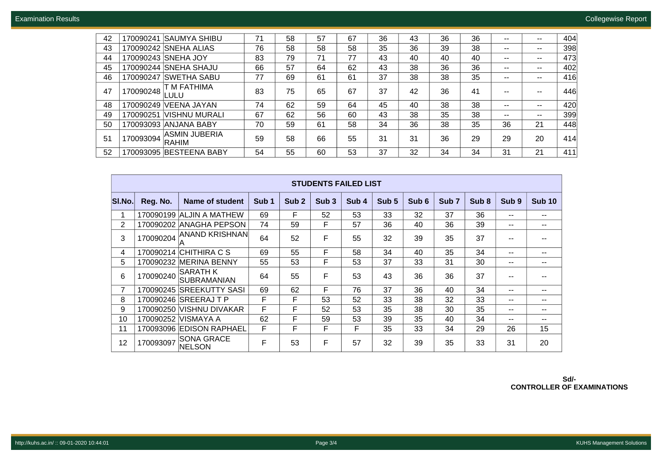| 42 | <b>SAUMYA SHIBU</b><br>170090241                  | 71 | 58 | 57 | 67 | 36 | 43 | 36 | 36 | $- -$ | $\sim$ $\sim$ | 404 |
|----|---------------------------------------------------|----|----|----|----|----|----|----|----|-------|---------------|-----|
| 43 | 170090242 SNEHA ALIAS                             | 76 | 58 | 58 | 58 | 35 | 36 | 39 | 38 | $- -$ | $- -$         | 398 |
| 44 | 170090243 SNEHA JOY                               | 83 | 79 | 71 | 77 | 43 | 40 | 40 | 40 | $- -$ | $\sim$ $\sim$ | 473 |
| 45 | 170090244 SNEHA SHAJU                             | 66 | 57 | 64 | 62 | 43 | 38 | 36 | 36 | $- -$ | $\sim$ $\sim$ | 402 |
| 46 | ISWETHA SABU<br>170090247                         | 77 | 69 | 61 | 61 | 37 | 38 | 38 | 35 | $- -$ | $\sim$ $\sim$ | 416 |
| 47 | T M FATHIMA<br>170090248<br>ULU.                  | 83 | 75 | 65 | 67 | 37 | 42 | 36 | 41 | --    | --            | 446 |
| 48 | VEENA JAYAN<br>170090249                          | 74 | 62 | 59 | 64 | 45 | 40 | 38 | 38 | $- -$ | $\sim$ $\sim$ | 420 |
| 49 | IVISHNU MURALI<br>170090251                       | 67 | 62 | 56 | 60 | 43 | 38 | 35 | 38 | $- -$ | $\sim$ $\sim$ | 399 |
| 50 | 170093093<br><b>ANJANA BABY</b>                   | 70 | 59 | 61 | 58 | 34 | 36 | 38 | 35 | 36    | 21            | 448 |
| 51 | <b>ASMIN JUBERIA</b><br>170093094<br><b>RAHIM</b> | 59 | 58 | 66 | 55 | 31 | 31 | 36 | 29 | 29    | 20            | 414 |
| 52 | <b>BESTEENA BABY</b><br>170093095                 | 54 | 55 | 60 | 53 | 37 | 32 | 34 | 34 | 31    | 21            | 411 |

|                | <b>STUDENTS FAILED LIST</b> |                                       |                  |                  |                  |                  |       |                  |                  |                  |                  |               |  |  |
|----------------|-----------------------------|---------------------------------------|------------------|------------------|------------------|------------------|-------|------------------|------------------|------------------|------------------|---------------|--|--|
| <b>SI.No.</b>  | Reg. No.                    | Name of student                       | Sub <sub>1</sub> | Sub <sub>2</sub> | Sub <sub>3</sub> | Sub <sub>4</sub> | Sub 5 | Sub <sub>6</sub> | Sub <sub>7</sub> | Sub <sub>8</sub> | Sub <sub>9</sub> | <b>Sub 10</b> |  |  |
| 1              |                             | 170090199 ALJIN A MATHEW              | 69               | F                | 52               | 53               | 33    | 32               | 37               | 36               | --               | --            |  |  |
| $\overline{2}$ | 170090202                   | <b>ANAGHA PEPSON</b>                  | 74               | 59               | F                | 57               | 36    | 40               | 36               | 39               | --               | $- -$         |  |  |
| 3              | 170090204                   | <b>ANAND KRISHNAN</b>                 | 64               | 52               | F                | 55               | 32    | 39               | 35               | 37               |                  | --            |  |  |
| 4              | 170090214                   | ICHITHIRA C S                         | 69               | 55               | F                | 58               | 34    | 40               | 35               | 34               | --               | --            |  |  |
| 5              | 170090232                   | <b>MERINA BENNY</b>                   | 55               | 53               | F                | 53               | 37    | 33               | 31               | 30               | --               | --            |  |  |
| 6              | 170090240                   | <b>SARATH K</b><br><b>SUBRAMANIAN</b> | 64               | 55               | F                | 53               | 43    | 36               | 36               | 37               | --               | --            |  |  |
| 7              |                             | 170090245 SREEKUTTY SASI              | 69               | 62               | F                | 76               | 37    | 36               | 40               | 34               | --               | $- -$         |  |  |
| 8              |                             | 170090246 SREERAJ T P                 | F                | F                | 53               | 52               | 33    | 38               | 32               | 33               | --               | --            |  |  |
| 9              |                             | 170090250 VISHNU DIVAKAR              | F                | F                | 52               | 53               | 35    | 38               | 30               | 35               | --               | --            |  |  |
| 10             |                             | 170090252 VISMAYA A                   | 62               | F                | 59               | 53               | 39    | 35               | 40               | 34               | --               | --            |  |  |
| 11             |                             | 170093096 EDISON RAPHAEL              | F                | F                | F                | F                | 35    | 33               | 34               | 29               | 26               | 15            |  |  |
| 12             | 170093097                   | <b>SONA GRACE</b><br>NELSON           | F                | 53               | F                | 57               | 32    | 39               | 35               | 33               | 31               | 20            |  |  |

**Sd/- CONTROLLER OF EXAMINATIONS**